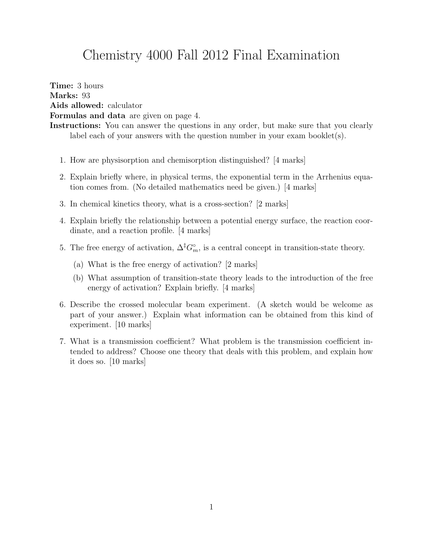## Chemistry 4000 Fall 2012 Final Examination

Time: 3 hours Marks: 93 Aids allowed: calculator Formulas and data are given on page 4.

- 1. How are physisorption and chemisorption distinguished? [4 marks]
- 2. Explain briefly where, in physical terms, the exponential term in the Arrhenius equation comes from. (No detailed mathematics need be given.) [4 marks]
- 3. In chemical kinetics theory, what is a cross-section? [2 marks]
- 4. Explain briefly the relationship between a potential energy surface, the reaction coordinate, and a reaction profile. [4 marks]
- 5. The free energy of activation,  $\Delta^{\ddagger} G_m^{\circ}$ , is a central concept in transition-state theory.
	- (a) What is the free energy of activation? [2 marks]
	- (b) What assumption of transition-state theory leads to the introduction of the free energy of activation? Explain briefly. [4 marks]
- 6. Describe the crossed molecular beam experiment. (A sketch would be welcome as part of your answer.) Explain what information can be obtained from this kind of experiment. [10 marks]
- 7. What is a transmission coefficient? What problem is the transmission coefficient intended to address? Choose one theory that deals with this problem, and explain how it does so. [10 marks]

Instructions: You can answer the questions in any order, but make sure that you clearly label each of your answers with the question number in your exam booklet $(s)$ .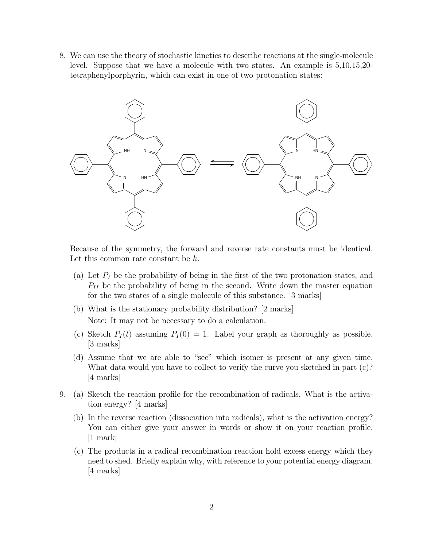8. We can use the theory of stochastic kinetics to describe reactions at the single-molecule level. Suppose that we have a molecule with two states. An example is 5,10,15,20 tetraphenylporphyrin, which can exist in one of two protonation states:



Because of the symmetry, the forward and reverse rate constants must be identical. Let this common rate constant be  $k$ .

- (a) Let  $P_I$  be the probability of being in the first of the two protonation states, and  $P_{II}$  be the probability of being in the second. Write down the master equation for the two states of a single molecule of this substance. [3 marks]
- (b) What is the stationary probability distribution? [2 marks] Note: It may not be necessary to do a calculation.
- (c) Sketch  $P_I(t)$  assuming  $P_I(0) = 1$ . Label your graph as thoroughly as possible. [3 marks]
- (d) Assume that we are able to "see" which isomer is present at any given time. What data would you have to collect to verify the curve you sketched in part (c)? [4 marks]
- 9. (a) Sketch the reaction profile for the recombination of radicals. What is the activation energy? [4 marks]
	- (b) In the reverse reaction (dissociation into radicals), what is the activation energy? You can either give your answer in words or show it on your reaction profile. [1 mark]
	- (c) The products in a radical recombination reaction hold excess energy which they need to shed. Briefly explain why, with reference to your potential energy diagram. [4 marks]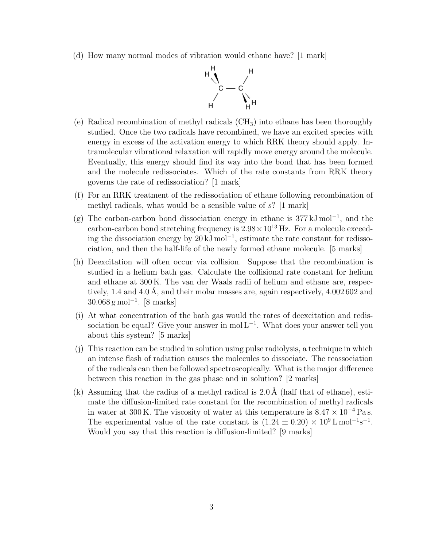(d) How many normal modes of vibration would ethane have? [1 mark]



- (e) Radical recombination of methyl radicals  $(CH_3)$  into ethane has been thoroughly studied. Once the two radicals have recombined, we have an excited species with energy in excess of the activation energy to which RRK theory should apply. Intramolecular vibrational relaxation will rapidly move energy around the molecule. Eventually, this energy should find its way into the bond that has been formed and the molecule redissociates. Which of the rate constants from RRK theory governs the rate of redissociation? [1 mark]
- (f) For an RRK treatment of the redissociation of ethane following recombination of methyl radicals, what would be a sensible value of s? [1 mark]
- (g) The carbon-carbon bond dissociation energy in ethane is 377 kJ mol<sup>−</sup><sup>1</sup> , and the carbon-carbon bond stretching frequency is  $2.98 \times 10^{13}$  Hz. For a molecule exceeding the dissociation energy by  $20 \text{ kJ} \text{ mol}^{-1}$ , estimate the rate constant for redissociation, and then the half-life of the newly formed ethane molecule. [5 marks]
- (h) Deexcitation will often occur via collision. Suppose that the recombination is studied in a helium bath gas. Calculate the collisional rate constant for helium and ethane at 300 K. The van der Waals radii of helium and ethane are, respectively, 1.4 and 4.0 Å, and their molar masses are, again respectively,  $4.002602$  and 30.068 g mol<sup>−</sup><sup>1</sup> . [8 marks]
- (i) At what concentration of the bath gas would the rates of deexcitation and redissociation be equal? Give your answer in mol  $L^{-1}$ . What does your answer tell you about this system? [5 marks]
- (j) This reaction can be studied in solution using pulse radiolysis, a technique in which an intense flash of radiation causes the molecules to dissociate. The reassociation of the radicals can then be followed spectroscopically. What is the major difference between this reaction in the gas phase and in solution? [2 marks]
- (k) Assuming that the radius of a methyl radical is  $2.0 \text{ Å}$  (half that of ethane), estimate the diffusion-limited rate constant for the recombination of methyl radicals in water at 300 K. The viscosity of water at this temperature is  $8.47 \times 10^{-4}$  Pas. The experimental value of the rate constant is  $(1.24 \pm 0.20) \times 10^9$  L mol<sup>-1</sup>s<sup>-1</sup>. Would you say that this reaction is diffusion-limited? [9 marks]